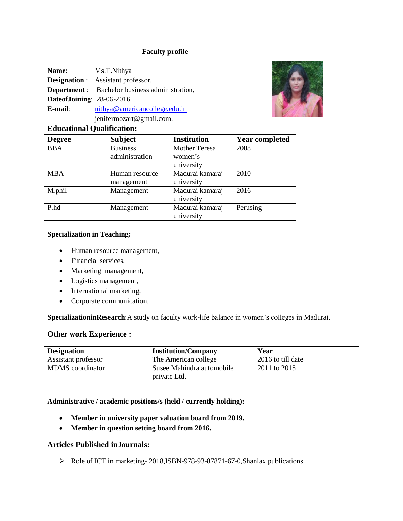## **Faculty profile**

| <b>Name:</b>              | Ms.T.Nithya                                           |
|---------------------------|-------------------------------------------------------|
|                           | <b>Designation</b> : Assistant professor,             |
|                           | <b>Department</b> : Bachelor business administration, |
| DateofJoining: 28-06-2016 |                                                       |
| E-mail:                   | nithya@americancollege.edu.in                         |
|                           | jenifermozart@gmail.com.                              |



# **Educational Qualification:**

| <b>Degree</b> | <b>Subject</b>  | <b>Institution</b>   | <b>Year completed</b> |
|---------------|-----------------|----------------------|-----------------------|
| <b>BBA</b>    | <b>Business</b> | <b>Mother Teresa</b> | 2008                  |
|               | administration  | women's              |                       |
|               |                 | university           |                       |
| <b>MBA</b>    | Human resource  | Madurai kamaraj      | 2010                  |
|               | management      | university           |                       |
| M.phil        | Management      | Madurai kamaraj      | 2016                  |
|               |                 | university           |                       |
| P.hd          | Management      | Madurai kamaraj      | Perusing              |
|               |                 | university           |                       |

#### **Specialization in Teaching:**

- Human resource management,
- Financial services,
- Marketing management,
- Logistics management,
- International marketing,
- Corporate communication.

**SpecializationinResearch**:A study on faculty work-life balance in women's colleges in Madurai.

#### **Other work Experience :**

| <b>Designation</b>      | <b>Institution/Company</b> | Year              |
|-------------------------|----------------------------|-------------------|
| Assistant professor     | The American college       | 2016 to till date |
| <b>MDMS</b> coordinator | Susee Mahindra automobile  | 2011 to 2015      |
|                         | private Ltd.               |                   |

#### **Administrative / academic positions/s (held / currently holding):**

- **Member in university paper valuation board from 2019.**
- **Member in question setting board from 2016.**

### **Articles Published inJournals:**

Role of ICT in marketing- 2018,ISBN-978-93-87871-67-0,Shanlax publications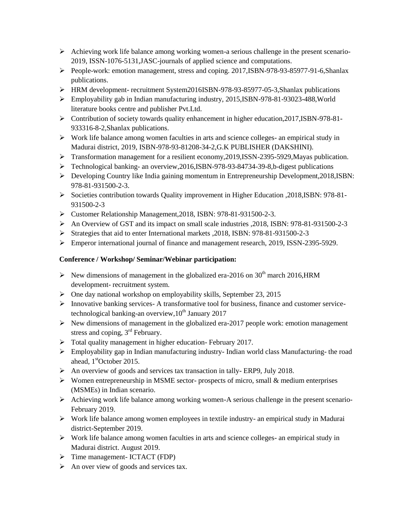- $\triangleright$  Achieving work life balance among working women-a serious challenge in the present scenario-2019, ISSN-1076-5131,JASC-journals of applied science and computations.
- People-work: emotion management, stress and coping. 2017,ISBN-978-93-85977-91-6,Shanlax publications.
- HRM development- recruitment System2016ISBN-978-93-85977-05-3,Shanlax publications
- Employability gab in Indian manufacturing industry, 2015,ISBN-978-81-93023-488,World literature books centre and publisher Pvt.Ltd.
- Contribution of society towards quality enhancement in higher education,2017,ISBN-978-81- 933316-8-2,Shanlax publications.
- $\triangleright$  Work life balance among women faculties in arts and science colleges- an empirical study in Madurai district, 2019, ISBN-978-93-81208-34-2,G.K PUBLISHER (DAKSHINI).
- Transformation management for a resilient economy,2019,ISSN-2395-5929,Mayas publication.
- Technological banking- an overview,2016,ISBN-978-93-84734-39-8,b-digest publications
- Developing Country like India gaining momentum in Entrepreneurship Development,2018,ISBN: 978-81-931500-2-3.
- Societies contribution towards Quality improvement in Higher Education ,2018,ISBN: 978-81- 931500-2-3
- Customer Relationship Management,2018, ISBN: 978-81-931500-2-3.
- An Overview of GST and its impact on small scale industries ,2018, ISBN: 978-81-931500-2-3
- Strategies that aid to enter International markets ,2018, ISBN: 978-81-931500-2-3
- Emperor international journal of finance and management research, 2019, ISSN-2395-5929.

# **Conference / Workshop/ Seminar/Webinar participation:**

- New dimensions of management in the globalized era-2016 on  $30<sup>th</sup>$  march 2016, HRM development- recruitment system.
- $\triangleright$  One day national workshop on employability skills, September 23, 2015
- Innovative banking services- A transformative tool for business, finance and customer servicetechnological banking-an overview,  $10^{th}$  January 2017
- $\triangleright$  New dimensions of management in the globalized era-2017 people work: emotion management stress and coping, 3<sup>rd</sup> February.
- $\triangleright$  Total quality management in higher education- February 2017.
- $\triangleright$  Employability gap in Indian manufacturing industry-Indian world class Manufacturing- the road ahead, 1<sup>st</sup>October 2015.
- $\triangleright$  An overview of goods and services tax transaction in tally-ERP9, July 2018.
- $\triangleright$  Women entrepreneurship in MSME sector- prospects of micro, small & medium enterprises (MSMEs) in Indian scenario.
- Achieving work life balance among working women-A serious challenge in the present scenario-February 2019.
- Work life balance among women employees in textile industry- an empirical study in Madurai district-September 2019.
- Work life balance among women faculties in arts and science colleges- an empirical study in Madurai district. August 2019.
- $\triangleright$  Time management- ICTACT (FDP)
- $\triangleright$  An over view of goods and services tax.